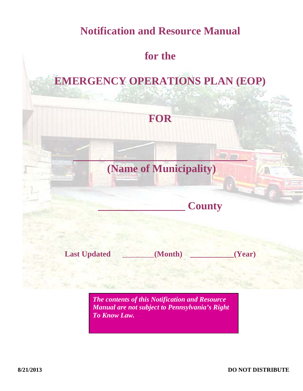# **Notification and Resource Manual**

# **for the**

# **EMERGENCY OPERATIONS PLAN (EOP)**



*The contents of this Notification and Resource Manual are not subject to Pennsylvania's Right To Know Law.*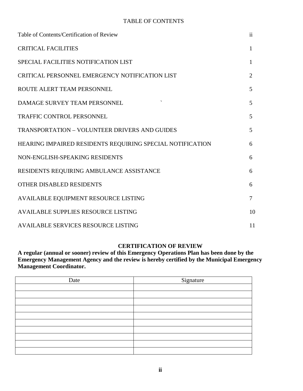#### TABLE OF CONTENTS

| Table of Contents/Certification of Review                 | $\mathbf{ii}$  |
|-----------------------------------------------------------|----------------|
| <b>CRITICAL FACILITIES</b>                                | $\mathbf{1}$   |
| SPECIAL FACILITIES NOTIFICATION LIST                      | 1              |
| CRITICAL PERSONNEL EMERGENCY NOTIFICATION LIST            | $\overline{2}$ |
| ROUTE ALERT TEAM PERSONNEL                                | 5              |
| DAMAGE SURVEY TEAM PERSONNEL                              | 5              |
| <b>TRAFFIC CONTROL PERSONNEL</b>                          | 5              |
| <b>TRANSPORTATION - VOLUNTEER DRIVERS AND GUIDES</b>      | 5              |
| HEARING IMPAIRED RESIDENTS REQUIRING SPECIAL NOTIFICATION | 6              |
| NON-ENGLISH-SPEAKING RESIDENTS                            | 6              |
| RESIDENTS REQUIRING AMBULANCE ASSISTANCE                  | 6              |
| OTHER DISABLED RESIDENTS                                  | 6              |
| AVAILABLE EQUIPMENT RESOURCE LISTING                      | $\overline{7}$ |
| <b>AVAILABLE SUPPLIES RESOURCE LISTING</b>                | 10             |
| <b>AVAILABLE SERVICES RESOURCE LISTING</b>                | 11             |

#### **CERTIFICATION OF REVIEW**

**A regular (annual or sooner) review of this Emergency Operations Plan has been done by the Emergency Management Agency and the review is hereby certified by the Municipal Emergency Management Coordinator.** 

| Date | Signature |
|------|-----------|
|      |           |
|      |           |
|      |           |
|      |           |
|      |           |
|      |           |
|      |           |
|      |           |
|      |           |
|      |           |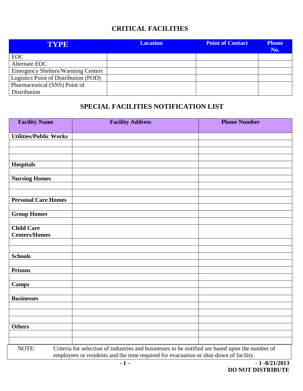### **CRITICAL FACILITIES**

| TYPE                                      | <b>Location</b> | <b>Point of Contact</b> | <b>Phone</b><br>No. |
|-------------------------------------------|-----------------|-------------------------|---------------------|
| <b>EOC</b>                                |                 |                         |                     |
| Alternate EOC                             |                 |                         |                     |
| <b>Emergency Shelters/Warming Centers</b> |                 |                         |                     |
| Logistics Point of Distribution (POD)     |                 |                         |                     |
| Pharmaceutical (SNS) Point of             |                 |                         |                     |
| Distribution                              |                 |                         |                     |

### **SPECIAL FACILITIES NOTIFICATION LIST**

| <b>Facility Name</b>          | <b>Facility Address</b>                                                                         | <b>Phone Number</b> |
|-------------------------------|-------------------------------------------------------------------------------------------------|---------------------|
| <b>Utilities/Public Works</b> |                                                                                                 |                     |
|                               |                                                                                                 |                     |
|                               |                                                                                                 |                     |
| <b>Hospitals</b>              |                                                                                                 |                     |
|                               |                                                                                                 |                     |
| <b>Nursing Homes</b>          |                                                                                                 |                     |
|                               |                                                                                                 |                     |
|                               |                                                                                                 |                     |
| <b>Personal Care Homes</b>    |                                                                                                 |                     |
| <b>Group Homes</b>            |                                                                                                 |                     |
|                               |                                                                                                 |                     |
| <b>Child Care</b>             |                                                                                                 |                     |
| <b>Centers/Homes</b>          |                                                                                                 |                     |
|                               |                                                                                                 |                     |
| <b>Schools</b>                |                                                                                                 |                     |
|                               |                                                                                                 |                     |
| <b>Prisons</b>                |                                                                                                 |                     |
|                               |                                                                                                 |                     |
| <b>Camps</b>                  |                                                                                                 |                     |
| <b>Businesses</b>             |                                                                                                 |                     |
|                               |                                                                                                 |                     |
|                               |                                                                                                 |                     |
|                               |                                                                                                 |                     |
| <b>Others</b>                 |                                                                                                 |                     |
|                               |                                                                                                 |                     |
| NOTE:                         | Criteria for selection of industries and businesses to be notified are based upon the number of |                     |
|                               | employees or residents and the time required for evacuation or shut-down of facility.           |                     |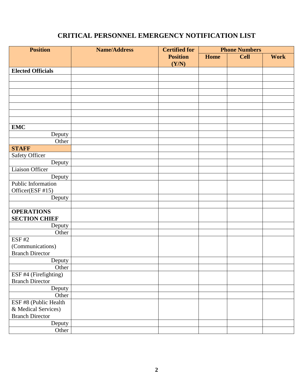## **CRITICAL PERSONNEL EMERGENCY NOTIFICATION LIST**

| <b>Position</b>          | <b>Name/Address</b> | <b>Certified for</b> | <b>Phone Numbers</b> |             |             |
|--------------------------|---------------------|----------------------|----------------------|-------------|-------------|
|                          |                     | <b>Position</b>      | <b>Home</b>          | <b>Cell</b> | <b>Work</b> |
|                          |                     | (Y/N)                |                      |             |             |
| <b>Elected Officials</b> |                     |                      |                      |             |             |
|                          |                     |                      |                      |             |             |
|                          |                     |                      |                      |             |             |
|                          |                     |                      |                      |             |             |
|                          |                     |                      |                      |             |             |
|                          |                     |                      |                      |             |             |
|                          |                     |                      |                      |             |             |
|                          |                     |                      |                      |             |             |
| <b>EMC</b>               |                     |                      |                      |             |             |
| Deputy                   |                     |                      |                      |             |             |
| Other                    |                     |                      |                      |             |             |
| <b>STAFF</b>             |                     |                      |                      |             |             |
| <b>Safety Officer</b>    |                     |                      |                      |             |             |
| Deputy                   |                     |                      |                      |             |             |
| Liaison Officer          |                     |                      |                      |             |             |
| Deputy                   |                     |                      |                      |             |             |
| Public Information       |                     |                      |                      |             |             |
| Officer(ESF #15)         |                     |                      |                      |             |             |
| Deputy                   |                     |                      |                      |             |             |
|                          |                     |                      |                      |             |             |
| <b>OPERATIONS</b>        |                     |                      |                      |             |             |
| <b>SECTION CHIEF</b>     |                     |                      |                      |             |             |
| Deputy                   |                     |                      |                      |             |             |
| Other                    |                     |                      |                      |             |             |
| <b>ESF#2</b>             |                     |                      |                      |             |             |
| (Communications)         |                     |                      |                      |             |             |
| <b>Branch Director</b>   |                     |                      |                      |             |             |
| Deputy                   |                     |                      |                      |             |             |
| Other                    |                     |                      |                      |             |             |
| ESF #4 (Firefighting)    |                     |                      |                      |             |             |
| <b>Branch Director</b>   |                     |                      |                      |             |             |
| Deputy                   |                     |                      |                      |             |             |
| Other                    |                     |                      |                      |             |             |
| ESF #8 (Public Health    |                     |                      |                      |             |             |
| & Medical Services)      |                     |                      |                      |             |             |
| <b>Branch Director</b>   |                     |                      |                      |             |             |
| Deputy                   |                     |                      |                      |             |             |
| Other                    |                     |                      |                      |             |             |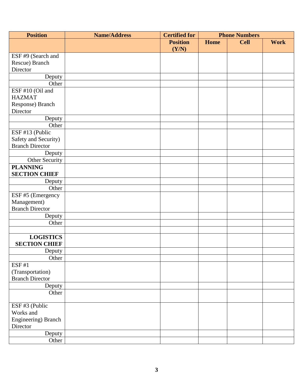| <b>Position</b>        | <b>Name/Address</b> | <b>Certified for</b> |      | <b>Phone Numbers</b> |             |  |
|------------------------|---------------------|----------------------|------|----------------------|-------------|--|
|                        |                     | <b>Position</b>      | Home | <b>Cell</b>          | <b>Work</b> |  |
|                        |                     | (Y/N)                |      |                      |             |  |
| ESF #9 (Search and     |                     |                      |      |                      |             |  |
| Rescue) Branch         |                     |                      |      |                      |             |  |
| Director               |                     |                      |      |                      |             |  |
| Deputy                 |                     |                      |      |                      |             |  |
| Other                  |                     |                      |      |                      |             |  |
| ESF #10 (Oil and       |                     |                      |      |                      |             |  |
| <b>HAZMAT</b>          |                     |                      |      |                      |             |  |
| Response) Branch       |                     |                      |      |                      |             |  |
| Director               |                     |                      |      |                      |             |  |
| Deputy                 |                     |                      |      |                      |             |  |
| Other                  |                     |                      |      |                      |             |  |
| ESF #13 (Public        |                     |                      |      |                      |             |  |
| Safety and Security)   |                     |                      |      |                      |             |  |
| <b>Branch Director</b> |                     |                      |      |                      |             |  |
| Deputy                 |                     |                      |      |                      |             |  |
| Other Security         |                     |                      |      |                      |             |  |
| <b>PLANNING</b>        |                     |                      |      |                      |             |  |
| <b>SECTION CHIEF</b>   |                     |                      |      |                      |             |  |
| Deputy                 |                     |                      |      |                      |             |  |
| Other                  |                     |                      |      |                      |             |  |
| ESF #5 (Emergency      |                     |                      |      |                      |             |  |
| Management)            |                     |                      |      |                      |             |  |
| <b>Branch Director</b> |                     |                      |      |                      |             |  |
| Deputy                 |                     |                      |      |                      |             |  |
| Other                  |                     |                      |      |                      |             |  |
|                        |                     |                      |      |                      |             |  |
| <b>LOGISTICS</b>       |                     |                      |      |                      |             |  |
| <b>SECTION CHIEF</b>   |                     |                      |      |                      |             |  |
| Deputy                 |                     |                      |      |                      |             |  |
| Other                  |                     |                      |      |                      |             |  |
| ESF#1                  |                     |                      |      |                      |             |  |
| (Transportation)       |                     |                      |      |                      |             |  |
| <b>Branch Director</b> |                     |                      |      |                      |             |  |
| Deputy                 |                     |                      |      |                      |             |  |
| Other                  |                     |                      |      |                      |             |  |
| ESF #3 (Public         |                     |                      |      |                      |             |  |
| Works and              |                     |                      |      |                      |             |  |
| Engineering) Branch    |                     |                      |      |                      |             |  |
| Director               |                     |                      |      |                      |             |  |
| Deputy                 |                     |                      |      |                      |             |  |
| Other                  |                     |                      |      |                      |             |  |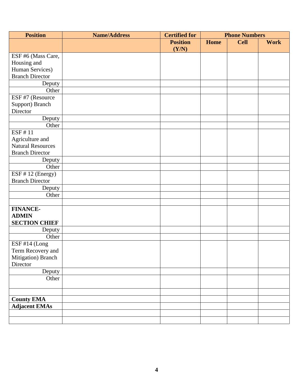| <b>Position</b>          | <b>Name/Address</b> | <b>Certified for</b> |             | <b>Phone Numbers</b> |             |
|--------------------------|---------------------|----------------------|-------------|----------------------|-------------|
|                          |                     | <b>Position</b>      | <b>Home</b> | <b>Cell</b>          | <b>Work</b> |
|                          |                     | (Y/N)                |             |                      |             |
| ESF #6 (Mass Care,       |                     |                      |             |                      |             |
| Housing and              |                     |                      |             |                      |             |
| Human Services)          |                     |                      |             |                      |             |
| <b>Branch Director</b>   |                     |                      |             |                      |             |
| Deputy                   |                     |                      |             |                      |             |
| Other                    |                     |                      |             |                      |             |
| ESF #7 (Resource         |                     |                      |             |                      |             |
| Support) Branch          |                     |                      |             |                      |             |
| Director                 |                     |                      |             |                      |             |
| Deputy                   |                     |                      |             |                      |             |
| Other                    |                     |                      |             |                      |             |
| ESF #11                  |                     |                      |             |                      |             |
| Agriculture and          |                     |                      |             |                      |             |
| <b>Natural Resources</b> |                     |                      |             |                      |             |
| <b>Branch Director</b>   |                     |                      |             |                      |             |
| Deputy                   |                     |                      |             |                      |             |
| Other                    |                     |                      |             |                      |             |
| ESF # 12 (Energy)        |                     |                      |             |                      |             |
| <b>Branch Director</b>   |                     |                      |             |                      |             |
| Deputy                   |                     |                      |             |                      |             |
| Other                    |                     |                      |             |                      |             |
|                          |                     |                      |             |                      |             |
| <b>FINANCE-</b>          |                     |                      |             |                      |             |
| <b>ADMIN</b>             |                     |                      |             |                      |             |
| <b>SECTION CHIEF</b>     |                     |                      |             |                      |             |
| Deputy                   |                     |                      |             |                      |             |
| Other                    |                     |                      |             |                      |             |
| ESF #14 (Long            |                     |                      |             |                      |             |
| Term Recovery and        |                     |                      |             |                      |             |
| Mitigation) Branch       |                     |                      |             |                      |             |
| Director                 |                     |                      |             |                      |             |
| Deputy                   |                     |                      |             |                      |             |
| Other                    |                     |                      |             |                      |             |
|                          |                     |                      |             |                      |             |
|                          |                     |                      |             |                      |             |
| <b>County EMA</b>        |                     |                      |             |                      |             |
| <b>Adjacent EMAs</b>     |                     |                      |             |                      |             |
|                          |                     |                      |             |                      |             |
|                          |                     |                      |             |                      |             |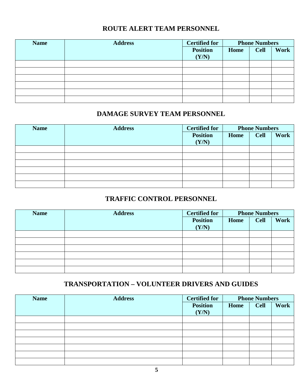### **ROUTE ALERT TEAM PERSONNEL**

| <b>Name</b> | <b>Address</b> | <b>Certified for</b>     |      | <b>Phone Numbers</b> |             |
|-------------|----------------|--------------------------|------|----------------------|-------------|
|             |                | <b>Position</b><br>(Y/N) | Home | <b>Cell</b>          | <b>Work</b> |
|             |                |                          |      |                      |             |
|             |                |                          |      |                      |             |
|             |                |                          |      |                      |             |
|             |                |                          |      |                      |             |
|             |                |                          |      |                      |             |
|             |                |                          |      |                      |             |

#### **DAMAGE SURVEY TEAM PERSONNEL**

| <b>Name</b> | <b>Address</b> | <b>Certified for</b>     |      | <b>Phone Numbers</b> |             |
|-------------|----------------|--------------------------|------|----------------------|-------------|
|             |                | <b>Position</b><br>(Y/N) | Home | <b>Cell</b>          | <b>Work</b> |
|             |                |                          |      |                      |             |
|             |                |                          |      |                      |             |
|             |                |                          |      |                      |             |
|             |                |                          |      |                      |             |
|             |                |                          |      |                      |             |
|             |                |                          |      |                      |             |

### **TRAFFIC CONTROL PERSONNEL**

| <b>Name</b> | <b>Address</b> | <b>Certified for</b>     |      | <b>Phone Numbers</b> |             |
|-------------|----------------|--------------------------|------|----------------------|-------------|
|             |                | <b>Position</b><br>(Y/N) | Home | <b>Cell</b>          | <b>Work</b> |
|             |                |                          |      |                      |             |
|             |                |                          |      |                      |             |
|             |                |                          |      |                      |             |
|             |                |                          |      |                      |             |
|             |                |                          |      |                      |             |
|             |                |                          |      |                      |             |

## **TRANSPORTATION – VOLUNTEER DRIVERS AND GUIDES**

| <b>Name</b> | <b>Address</b> | <b>Certified for</b> |      | <b>Phone Numbers</b> |      |
|-------------|----------------|----------------------|------|----------------------|------|
|             |                | <b>Position</b>      | Home | <b>Cell</b>          | Work |
|             |                | (Y/N)                |      |                      |      |
|             |                |                      |      |                      |      |
|             |                |                      |      |                      |      |
|             |                |                      |      |                      |      |
|             |                |                      |      |                      |      |
|             |                |                      |      |                      |      |
|             |                |                      |      |                      |      |
|             |                |                      |      |                      |      |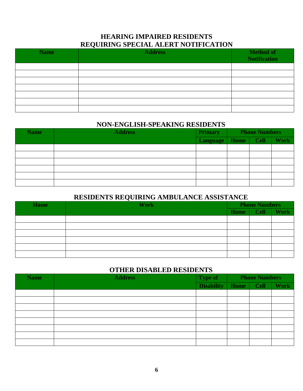#### **HEARING IMPAIRED RESIDENTS REQUIRING SPECIAL ALERT NOTIFICATION**

| <b>Name</b> | ∼<br><b>Address</b> | <b>Method of</b><br><b>Notification</b> |
|-------------|---------------------|-----------------------------------------|
|             |                     |                                         |
|             |                     |                                         |
|             |                     |                                         |
|             |                     |                                         |
|             |                     |                                         |
|             |                     |                                         |
|             |                     |                                         |

#### **NON-ENGLISH-SPEAKING RESIDENTS**

| <b>Name</b> | <b>Address</b> | <b>Primary</b>  | <b>Phone Numbers</b> |             |             |
|-------------|----------------|-----------------|----------------------|-------------|-------------|
|             |                | <b>Language</b> | Home                 | <b>Cell</b> | <b>Work</b> |
|             |                |                 |                      |             |             |
|             |                |                 |                      |             |             |
|             |                |                 |                      |             |             |
|             |                |                 |                      |             |             |
|             |                |                 |                      |             |             |
|             |                |                 |                      |             |             |

#### **RESIDENTS REQUIRING AMBULANCE ASSISTANCE**

| <b>Home</b> | <b>Work</b> | <b>Phone Numbers</b> |             |             |
|-------------|-------------|----------------------|-------------|-------------|
|             |             | Home                 | <b>Cell</b> | <b>Work</b> |
|             |             |                      |             |             |
|             |             |                      |             |             |
|             |             |                      |             |             |
|             |             |                      |             |             |
|             |             |                      |             |             |
|             |             |                      |             |             |

#### **OTHER DISABLED RESIDENTS**

| <b>Name</b> | <b>Address</b> | <b>Type of</b>    | <b>Phone Numbers</b> |      |             |
|-------------|----------------|-------------------|----------------------|------|-------------|
|             |                | <b>Disability</b> | Home                 | Cell | <b>Work</b> |
|             |                |                   |                      |      |             |
|             |                |                   |                      |      |             |
|             |                |                   |                      |      |             |
|             |                |                   |                      |      |             |
|             |                |                   |                      |      |             |
|             |                |                   |                      |      |             |
|             |                |                   |                      |      |             |
|             |                |                   |                      |      |             |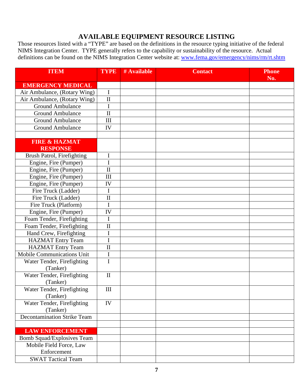#### **AVAILABLE EQUIPMENT RESOURCE LISTING**

Those resources listed with a "TYPE" are based on the definitions in the resource typing initiative of the federal NIMS Integration Center. TYPE generally refers to the capability or sustainability of the resource. Actual definitions can be found on the NIMS Integration Center website at: [www.fema.gov/emergency/nims/rm/rt.shtm](http://www.fema.gov/emergency/nims/rm/rt.shtm)

| <b>ITEM</b>                            | <b>TYPE</b>         | # Available | <b>Contact</b> | <b>Phone</b><br>No. |
|----------------------------------------|---------------------|-------------|----------------|---------------------|
| <b>EMERGENCY MEDICAL</b>               |                     |             |                |                     |
| Air Ambulance, (Rotary Wing)           | $\mathbf I$         |             |                |                     |
| Air Ambulance, (Rotary Wing)           | $\mathbf H$         |             |                |                     |
| <b>Ground Ambulance</b>                | I                   |             |                |                     |
| <b>Ground Ambulance</b>                | $\rm II$            |             |                |                     |
| <b>Ground Ambulance</b>                | III                 |             |                |                     |
| <b>Ground Ambulance</b>                | IV                  |             |                |                     |
|                                        |                     |             |                |                     |
| <b>FIRE &amp; HAZMAT</b>               |                     |             |                |                     |
| <b>RESPONSE</b>                        |                     |             |                |                     |
| <b>Brush Patrol, Firefighting</b>      | I                   |             |                |                     |
| Engine, Fire (Pumper)                  | I                   |             |                |                     |
| Engine, Fire (Pumper)                  | $\mathbf H$         |             |                |                     |
| Engine, Fire (Pumper)                  | III                 |             |                |                     |
| Engine, Fire (Pumper)                  | IV                  |             |                |                     |
| Fire Truck (Ladder)                    | I                   |             |                |                     |
| Fire Truck (Ladder)                    | $\rm II$            |             |                |                     |
| Fire Truck (Platform)                  | I                   |             |                |                     |
| Engine, Fire (Pumper)                  | IV                  |             |                |                     |
| Foam Tender, Firefighting              | I                   |             |                |                     |
| Foam Tender, Firefighting              | $\mathbf{I}$        |             |                |                     |
| Hand Crew, Firefighting                | I                   |             |                |                     |
| <b>HAZMAT Entry Team</b>               | I                   |             |                |                     |
| <b>HAZMAT Entry Team</b>               | $\overline{\rm II}$ |             |                |                     |
| <b>Mobile Communications Unit</b>      | $\mathbf I$         |             |                |                     |
| Water Tender, Firefighting             | I                   |             |                |                     |
| (Tanker)                               |                     |             |                |                     |
| Water Tender, Firefighting<br>(Tanker) | $\mathbf{I}$        |             |                |                     |
| Water Tender, Firefighting<br>(Tanker) | $\rm III$           |             |                |                     |
| Water Tender, Firefighting<br>(Tanker) | IV                  |             |                |                     |
| <b>Decontamination Strike Team</b>     |                     |             |                |                     |
|                                        |                     |             |                |                     |
| <b>LAW ENFORCEMENT</b>                 |                     |             |                |                     |
| <b>Bomb Squad/Explosives Team</b>      |                     |             |                |                     |
| Mobile Field Force, Law                |                     |             |                |                     |
| Enforcement                            |                     |             |                |                     |
| <b>SWAT Tactical Team</b>              |                     |             |                |                     |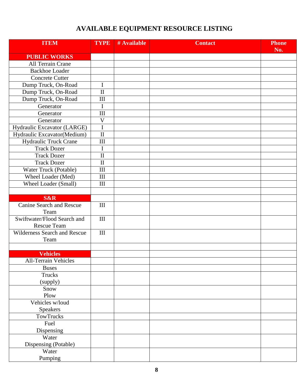## **AVAILABLE EQUIPMENT RESOURCE LISTING**

| <b>ITEM</b>                                       | <b>TYPE</b>                 | # Available | <b>Contact</b> | <b>Phone</b><br>No. |
|---------------------------------------------------|-----------------------------|-------------|----------------|---------------------|
| <b>PUBLIC WORKS</b>                               |                             |             |                |                     |
| All Terrain Crane                                 |                             |             |                |                     |
| <b>Backhoe Loader</b>                             |                             |             |                |                     |
| <b>Concrete Cutter</b>                            |                             |             |                |                     |
| Dump Truck, On-Road                               | I                           |             |                |                     |
| Dump Truck, On-Road                               | $\overline{\rm II}$         |             |                |                     |
| Dump Truck, On-Road                               | III                         |             |                |                     |
| Generator                                         | $\mathbf I$                 |             |                |                     |
| Generator                                         | III                         |             |                |                     |
| Generator                                         | $\mathbf V$                 |             |                |                     |
| Hydraulic Excavator (LARGE)                       | $\mathbf I$                 |             |                |                     |
| Hydraulic Excavator(Medium)                       | $\mathbf{I}$                |             |                |                     |
| Hydraulic Truck Crane                             | III                         |             |                |                     |
| <b>Track Dozer</b>                                | I                           |             |                |                     |
| <b>Track Dozer</b>                                | $\overline{\rm II}$         |             |                |                     |
| <b>Track Dozer</b>                                | $\mathbf{I}$                |             |                |                     |
| Water Truck (Potable)                             | III                         |             |                |                     |
| Wheel Loader (Med)                                | $\mathop{\rm III}\nolimits$ |             |                |                     |
| Wheel Loader (Small)                              | III                         |             |                |                     |
|                                                   |                             |             |                |                     |
| <b>S&amp;R</b>                                    |                             |             |                |                     |
| <b>Canine Search and Rescue</b><br>Team           | $\mathop{\rm III}\nolimits$ |             |                |                     |
| Swiftwater/Flood Search and<br><b>Rescue Team</b> | III                         |             |                |                     |
| Wilderness Search and Rescue<br>Team              | III                         |             |                |                     |
|                                                   |                             |             |                |                     |
| <b>Vehicles</b>                                   |                             |             |                |                     |
| <b>All-Terrain Vehicles</b>                       |                             |             |                |                     |
| <b>Buses</b>                                      |                             |             |                |                     |
| <b>Trucks</b><br>(supply)                         |                             |             |                |                     |
| Snow<br>Plow                                      |                             |             |                |                     |
| Vehicles w/loud                                   |                             |             |                |                     |
| Speakers                                          |                             |             |                |                     |
| TowTrucks                                         |                             |             |                |                     |
| Fuel                                              |                             |             |                |                     |
| Dispensing                                        |                             |             |                |                     |
| Water                                             |                             |             |                |                     |
| Dispensing (Potable)                              |                             |             |                |                     |
| Water                                             |                             |             |                |                     |
| Pumping                                           |                             |             |                |                     |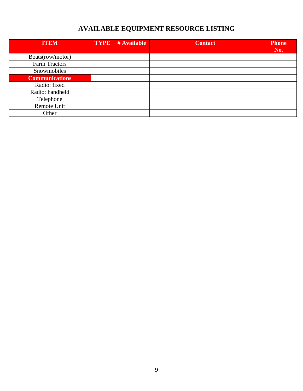## **AVAILABLE EQUIPMENT RESOURCE LISTING**

| <b>ITEM</b>           | <b>TYPE</b> | # Available | <b>Contact</b> | <b>Phone</b> |
|-----------------------|-------------|-------------|----------------|--------------|
|                       |             |             |                | No.          |
| Boats(row/motor)      |             |             |                |              |
| Farm Tractors         |             |             |                |              |
| Snowmobiles           |             |             |                |              |
| <b>Communications</b> |             |             |                |              |
| Radio: fixed          |             |             |                |              |
| Radio: handheld       |             |             |                |              |
| Telephone             |             |             |                |              |
| Remote Unit           |             |             |                |              |
| Other                 |             |             |                |              |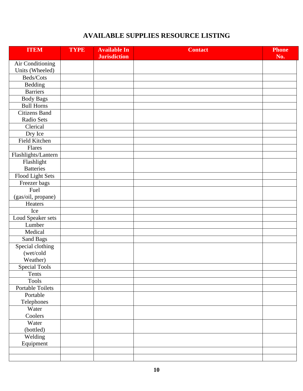## **AVAILABLE SUPPLIES RESOURCE LISTING**

| <b>ITEM</b>          | <b>TYPE</b> | <b>Available In</b> | <b>Contact</b> | <b>Phone</b> |
|----------------------|-------------|---------------------|----------------|--------------|
|                      |             | <b>Jurisdiction</b> |                | No.          |
| Air Conditioning     |             |                     |                |              |
| Units (Wheeled)      |             |                     |                |              |
| Beds/Cots            |             |                     |                |              |
| Bedding              |             |                     |                |              |
| <b>Barriers</b>      |             |                     |                |              |
| <b>Body Bags</b>     |             |                     |                |              |
| <b>Bull Horns</b>    |             |                     |                |              |
| <b>Citizens Band</b> |             |                     |                |              |
| Radio Sets           |             |                     |                |              |
| Clerical             |             |                     |                |              |
| Dry Ice              |             |                     |                |              |
| Field Kitchen        |             |                     |                |              |
| Flares               |             |                     |                |              |
| Flashlights/Lantern  |             |                     |                |              |
| Flashlight           |             |                     |                |              |
| <b>Batteries</b>     |             |                     |                |              |
| Flood Light Sets     |             |                     |                |              |
| Freezer bags         |             |                     |                |              |
| Fuel                 |             |                     |                |              |
| (gas/oil, propane)   |             |                     |                |              |
| Heaters              |             |                     |                |              |
| Ice                  |             |                     |                |              |
| Loud Speaker sets    |             |                     |                |              |
| Lumber               |             |                     |                |              |
| Medical              |             |                     |                |              |
| Sand Bags            |             |                     |                |              |
| Special clothing     |             |                     |                |              |
| (wet/cold            |             |                     |                |              |
| Weather)             |             |                     |                |              |
| <b>Special Tools</b> |             |                     |                |              |
| Tents                |             |                     |                |              |
| <b>Tools</b>         |             |                     |                |              |
| Portable Toilets     |             |                     |                |              |
| Portable             |             |                     |                |              |
| Telephones           |             |                     |                |              |
| Water                |             |                     |                |              |
| Coolers              |             |                     |                |              |
| Water                |             |                     |                |              |
| (bottled)            |             |                     |                |              |
| Welding              |             |                     |                |              |
| Equipment            |             |                     |                |              |
|                      |             |                     |                |              |
|                      |             |                     |                |              |